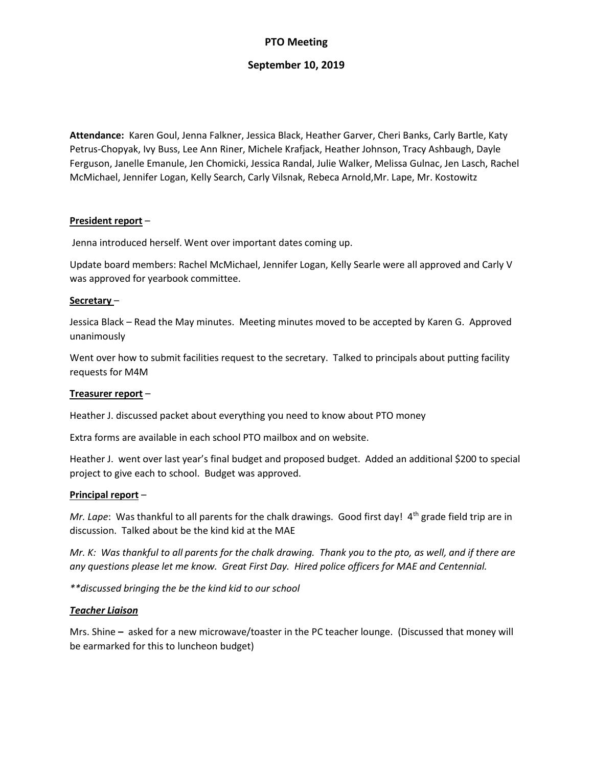## **PTO Meeting**

### **September 10, 2019**

**Attendance:** Karen Goul, Jenna Falkner, Jessica Black, Heather Garver, Cheri Banks, Carly Bartle, Katy Petrus-Chopyak, Ivy Buss, Lee Ann Riner, Michele Krafjack, Heather Johnson, Tracy Ashbaugh, Dayle Ferguson, Janelle Emanule, Jen Chomicki, Jessica Randal, Julie Walker, Melissa Gulnac, Jen Lasch, Rachel McMichael, Jennifer Logan, Kelly Search, Carly Vilsnak, Rebeca Arnold,Mr. Lape, Mr. Kostowitz

### **President report** –

Jenna introduced herself. Went over important dates coming up.

Update board members: Rachel McMichael, Jennifer Logan, Kelly Searle were all approved and Carly V was approved for yearbook committee.

#### **Secretary** –

Jessica Black – Read the May minutes. Meeting minutes moved to be accepted by Karen G. Approved unanimously

Went over how to submit facilities request to the secretary. Talked to principals about putting facility requests for M4M

### **Treasurer report** –

Heather J. discussed packet about everything you need to know about PTO money

Extra forms are available in each school PTO mailbox and on website.

Heather J. went over last year's final budget and proposed budget. Added an additional \$200 to special project to give each to school. Budget was approved.

### **Principal report** –

*Mr. Lape*: Was thankful to all parents for the chalk drawings. Good first day! 4<sup>th</sup> grade field trip are in discussion. Talked about be the kind kid at the MAE

*Mr. K: Was thankful to all parents for the chalk drawing. Thank you to the pto, as well, and if there are any questions please let me know. Great First Day. Hired police officers for MAE and Centennial.* 

*\*\*discussed bringing the be the kind kid to our school*

### *Teacher Liaison*

Mrs. Shine **–** asked for a new microwave/toaster in the PC teacher lounge. (Discussed that money will be earmarked for this to luncheon budget)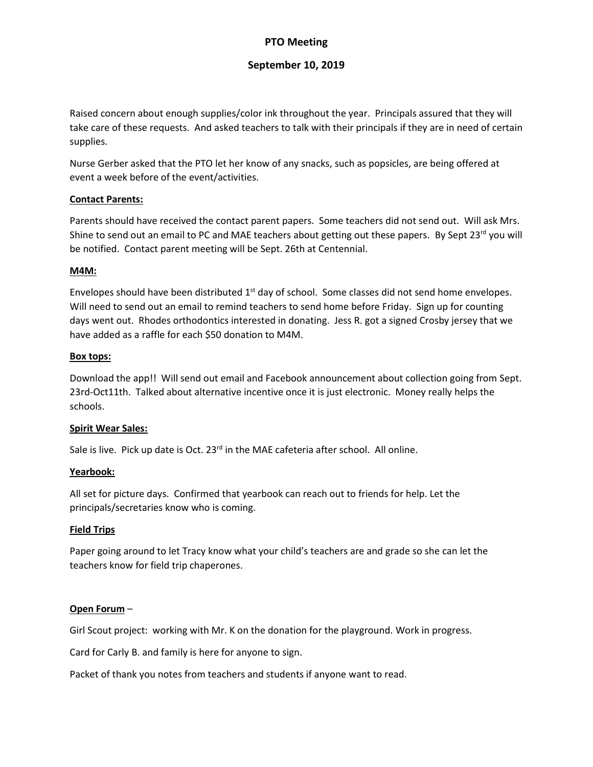## **PTO Meeting**

## **September 10, 2019**

Raised concern about enough supplies/color ink throughout the year. Principals assured that they will take care of these requests. And asked teachers to talk with their principals if they are in need of certain supplies.

Nurse Gerber asked that the PTO let her know of any snacks, such as popsicles, are being offered at event a week before of the event/activities.

### **Contact Parents:**

Parents should have received the contact parent papers. Some teachers did not send out. Will ask Mrs. Shine to send out an email to PC and MAE teachers about getting out these papers. By Sept 23<sup>rd</sup> you will be notified. Contact parent meeting will be Sept. 26th at Centennial.

### **M4M:**

Envelopes should have been distributed 1<sup>st</sup> day of school. Some classes did not send home envelopes. Will need to send out an email to remind teachers to send home before Friday. Sign up for counting days went out. Rhodes orthodontics interested in donating. Jess R. got a signed Crosby jersey that we have added as a raffle for each \$50 donation to M4M.

### **Box tops:**

Download the app!! Will send out email and Facebook announcement about collection going from Sept. 23rd-Oct11th. Talked about alternative incentive once it is just electronic. Money really helps the schools.

### **Spirit Wear Sales:**

Sale is live. Pick up date is Oct.  $23<sup>rd</sup>$  in the MAE cafeteria after school. All online.

### **Yearbook:**

All set for picture days. Confirmed that yearbook can reach out to friends for help. Let the principals/secretaries know who is coming.

### **Field Trips**

Paper going around to let Tracy know what your child's teachers are and grade so she can let the teachers know for field trip chaperones.

### **Open Forum** –

Girl Scout project: working with Mr. K on the donation for the playground. Work in progress.

Card for Carly B. and family is here for anyone to sign.

Packet of thank you notes from teachers and students if anyone want to read.